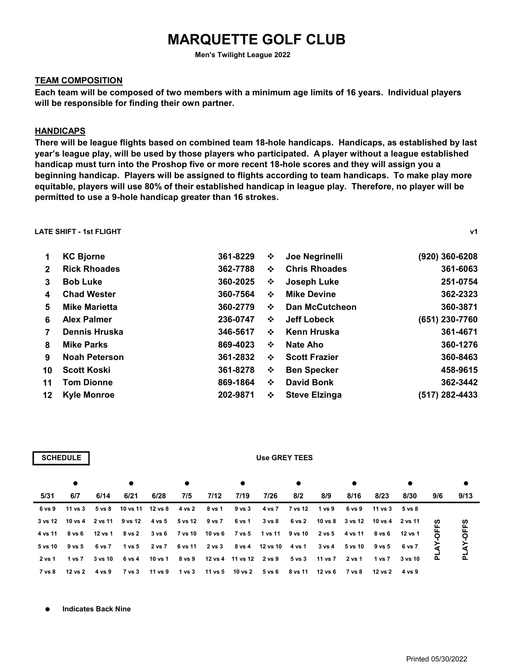# MARQUETTE GOLF CLUB

Men's Twilight League 2022

# TEAM COMPOSITION

Each team will be composed of two members with a minimum age limits of 16 years. Individual players will be responsible for finding their own partner.

## HANDICAPS

There will be league flights based on combined team 18-hole handicaps. Handicaps, as established by last year's league play, will be used by those players who participated. A player without a league established handicap must turn into the Proshop five or more recent 18-hole scores and they will assign you a beginning handicap. Players will be assigned to flights according to team handicaps. To make play more equitable, players will use 80% of their established handicap in league play. Therefore, no player will be permitted to use a 9-hole handicap greater than 16 strokes.

LATE SHIFT - 1st FLIGHT v1

| $\mathbf 1$     | <b>KC Bjorne</b>     | 361-8229 | ❖ | Joe Negrinelli        | (920) 360-6208 |
|-----------------|----------------------|----------|---|-----------------------|----------------|
| $\mathbf{2}$    | <b>Rick Rhoades</b>  | 362-7788 | ❖ | <b>Chris Rhoades</b>  | 361-6063       |
| 3               | <b>Bob Luke</b>      | 360-2025 | ❖ | <b>Joseph Luke</b>    | 251-0754       |
| 4               | <b>Chad Wester</b>   | 360-7564 | ❖ | <b>Mike Devine</b>    | 362-2323       |
| 5               | <b>Mike Marietta</b> | 360-2779 | ❖ | <b>Dan McCutcheon</b> | 360-3871       |
| 6               | <b>Alex Palmer</b>   | 236-0747 | ❖ | Jeff Lobeck           | (651) 230-7760 |
| 7               | <b>Dennis Hruska</b> | 346-5617 | ❖ | Kenn Hruska           | 361-4671       |
| 8               | <b>Mike Parks</b>    | 869-4023 | ❖ | Nate Aho              | 360-1276       |
| 9               | <b>Noah Peterson</b> | 361-2832 | ❖ | <b>Scott Frazier</b>  | 360-8463       |
| 10              | <b>Scott Koski</b>   | 361-8278 | ❖ | <b>Ben Specker</b>    | 458-9615       |
| 11              | <b>Tom Dionne</b>    | 869-1864 | ❖ | <b>David Bonk</b>     | 362-3442       |
| 12 <sup>°</sup> | <b>Kyle Monroe</b>   | 202-9871 | ❖ | <b>Steve Elzinga</b>  | (517) 282-4433 |
|                 |                      |          |   |                       |                |

|        | <b>SCHEDULE</b>       |         |                                                                             |      |                              |        |                                                      | Use GREY TEES |                |         |                         |                |         |     |           |
|--------|-----------------------|---------|-----------------------------------------------------------------------------|------|------------------------------|--------|------------------------------------------------------|---------------|----------------|---------|-------------------------|----------------|---------|-----|-----------|
|        | $\bullet$             |         |                                                                             |      |                              |        |                                                      |               |                |         | $\bullet$               |                |         |     | $\bullet$ |
| 5/31   | 6/7                   | 6/14    | 6/21                                                                        | 6/28 | 7/5                          | 7/12   | 7/19                                                 | 7/26          | 8/2            | 8/9     | 8/16                    | 8/23           | 8/30    | 9/6 | 9/13      |
|        | 6 vs 9 11 vs 3        |         | 5 vs 8 10 vs 11 12 vs 8                                                     |      | 4 vs 2                       | 8 vs 1 | 9 vs 3                                               |               | 4 vs 7 7 vs 12 | 1 vs 9  | 6 vs 9                  | 11 vs 3        | 5 vs 8  |     |           |
|        |                       |         | 3 vs 12 10 vs 4 2 vs 11 9 vs 12 4 vs 5 5 vs 12 9 vs 7                       |      |                              |        | 6 vs 1                                               | 3 vs 8 6 vs 2 |                |         | 10 vs 8 3 vs 12 10 vs 4 |                | 2 vs 11 | ທ   | ဖို့      |
|        | 4 vs 11 8 vs 6        | 12 vs 1 |                                                                             |      |                              |        | 8 vs 2 3 vs 6 7 vs 10 10 vs 6 7 vs 5 1 vs 11 9 vs 10 |               |                | 2 vs 5  | 4 vs 11                 | 8 vs 6         | 12 vs 1 |     |           |
|        | 5 vs 10 9 vs 5        | 6 vs 7  |                                                                             |      | 1 vs 5 2 vs 7 6 vs 11 2 vs 3 |        | 8 vs 4 12 vs 10 4 vs 1                               |               |                |         | 3 vs 4 5 vs 10 9 vs 5   |                | 6 vs 7  |     |           |
| 2 vs 1 | 1 vs 7                | 3 vs 10 | 6 vs 4                                                                      |      |                              |        | 10 vs 1 8 vs 9 12 vs 4 11 vs 12 2 vs 9 5 vs 3        |               |                | 11 vs 7 | 2 vs 1                  | 1 vs 7         | 3 vs 10 |     | ք         |
|        | 7 vs 8 12 vs 2 4 vs 9 |         | 7 vs 3  11 vs 9  1 vs 3  11 vs 5  10 vs 2  5 vs 6  8 vs 11  12 vs 6  7 vs 8 |      |                              |        |                                                      |               |                |         |                         | 12 vs 2 4 vs 9 |         |     |           |

 $\bullet$ Indicates Back Nine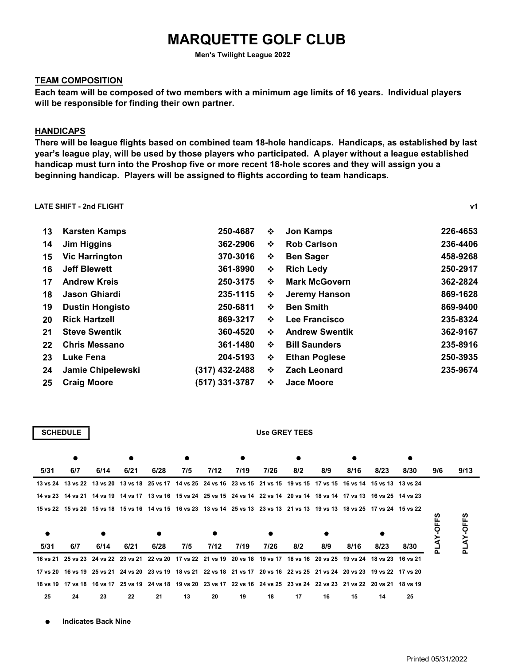# MARQUETTE GOLF CLUB

Men's Twilight League 2022

# TEAM COMPOSITION

Each team will be composed of two members with a minimum age limits of 16 years. Individual players will be responsible for finding their own partner.

### HANDICAPS

There will be league flights based on combined team 18-hole handicaps. Handicaps, as established by last year's league play, will be used by those players who participated. A player without a league established handicap must turn into the Proshop five or more recent 18-hole scores and they will assign you a beginning handicap. Players will be assigned to flights according to team handicaps.

#### LATE SHIFT - 2nd FLIGHT v1

| 13 | <b>Karsten Kamps</b>     | 250-4687       | ❖ | <b>Jon Kamps</b>      | 226-4653 |
|----|--------------------------|----------------|---|-----------------------|----------|
| 14 | <b>Jim Higgins</b>       | 362-2906       | ❖ | <b>Rob Carlson</b>    | 236-4406 |
| 15 | <b>Vic Harrington</b>    | 370-3016       | ❖ | <b>Ben Sager</b>      | 458-9268 |
| 16 | <b>Jeff Blewett</b>      | 361-8990       | ❖ | <b>Rich Ledy</b>      | 250-2917 |
| 17 | <b>Andrew Kreis</b>      | 250-3175       | ❖ | <b>Mark McGovern</b>  | 362-2824 |
| 18 | Jason Ghiardi            | 235-1115       | ❖ | Jeremy Hanson         | 869-1628 |
| 19 | <b>Dustin Hongisto</b>   | 250-6811       | ❖ | <b>Ben Smith</b>      | 869-9400 |
| 20 | <b>Rick Hartzell</b>     | 869-3217       | ❖ | Lee Francisco         | 235-8324 |
| 21 | <b>Steve Swentik</b>     | 360-4520       | ❖ | <b>Andrew Swentik</b> | 362-9167 |
| 22 | <b>Chris Messano</b>     | 361-1480       | ❖ | <b>Bill Saunders</b>  | 235-8916 |
| 23 | Luke Fena                | 204-5193       | ❖ | <b>Ethan Poglese</b>  | 250-3935 |
| 24 | <b>Jamie Chipelewski</b> | (317) 432-2488 | ❖ | <b>Zach Leonard</b>   | 235-9674 |
| 25 | <b>Craig Moore</b>       | (517) 331-3787 | ❖ | <b>Jace Moore</b>     |          |

| CHEDUL |  |
|--------|--|
|        |  |

#### Use GREY TEES

|      |                                                                                                                               |           |      |      | ٠   |      |      |           |     |     |      |      |      |     |         |
|------|-------------------------------------------------------------------------------------------------------------------------------|-----------|------|------|-----|------|------|-----------|-----|-----|------|------|------|-----|---------|
| 5/31 | 6/7                                                                                                                           | 6/14      | 6/21 | 6/28 | 7/5 | 7/12 | 7/19 | 7/26      | 8/2 | 8/9 | 8/16 | 8/23 | 8/30 | 9/6 | 9/13    |
|      | 13 vs 24 13 vs 22 13 vs 20 13 vs 18 25 vs 17 14 vs 25 24 vs 16 23 vs 15 21 vs 15 19 vs 15 17 vs 15 16 vs 14 15 vs 13 13 vs 24 |           |      |      |     |      |      |           |     |     |      |      |      |     |         |
|      | 14 vs 23 14 vs 21 14 vs 19 14 vs 17 13 vs 16 15 vs 24 25 vs 15 24 vs 14 22 vs 14 20 vs 14 18 vs 14 17 vs 13 16 vs 25 14 vs 23 |           |      |      |     |      |      |           |     |     |      |      |      |     |         |
|      | 15 vs 22 15 vs 20 15 vs 18 15 vs 16 14 vs 15 16 vs 23 13 vs 14 25 vs 13 23 vs 13 21 vs 13 19 vs 13 18 vs 25 17 vs 24 15 vs 22 |           |      |      |     |      |      |           |     |     |      |      |      |     | ທ<br>Ű, |
|      |                                                                                                                               | $\bullet$ |      | ٠    |     |      |      | $\bullet$ |     | ٠   |      |      |      |     | Ο       |
| 5/31 | 6/7                                                                                                                           | 6/14      | 6/21 | 6/28 | 7/5 | 7/12 | 7/19 | 7/26      | 8/2 | 8/9 | 8/16 | 8/23 | 8/30 |     | ک<br>ا  |
|      |                                                                                                                               |           |      |      |     |      |      |           |     |     |      |      |      |     |         |
|      | 16 ys 21 25 ys 23 24 ys 22 23 ys 21 22 ys 20 17 ys 22 21 ys 19 20 ys 18 19 ys 17 18 ys 16 20 ys 25 19 ys 24 18 ys 23 16 ys 21 |           |      |      |     |      |      |           |     |     |      |      |      |     |         |
|      | 17 vs 20 16 vs 19 25 vs 21 24 vs 20 23 vs 19 18 vs 21 22 vs 18 21 vs 17 20 vs 16 22 vs 25 21 vs 24 20 vs 23 19 vs 22 17 vs 20 |           |      |      |     |      |      |           |     |     |      |      |      |     |         |
|      | 18 vs 19 17 vs 18 16 vs 17 25 vs 19 24 vs 18 19 vs 20 23 vs 17 22 vs 16 24 vs 25 23 vs 24 22 vs 23 21 vs 22 20 vs 21 18 vs 19 |           |      |      |     |      |      |           |     |     |      |      |      |     |         |